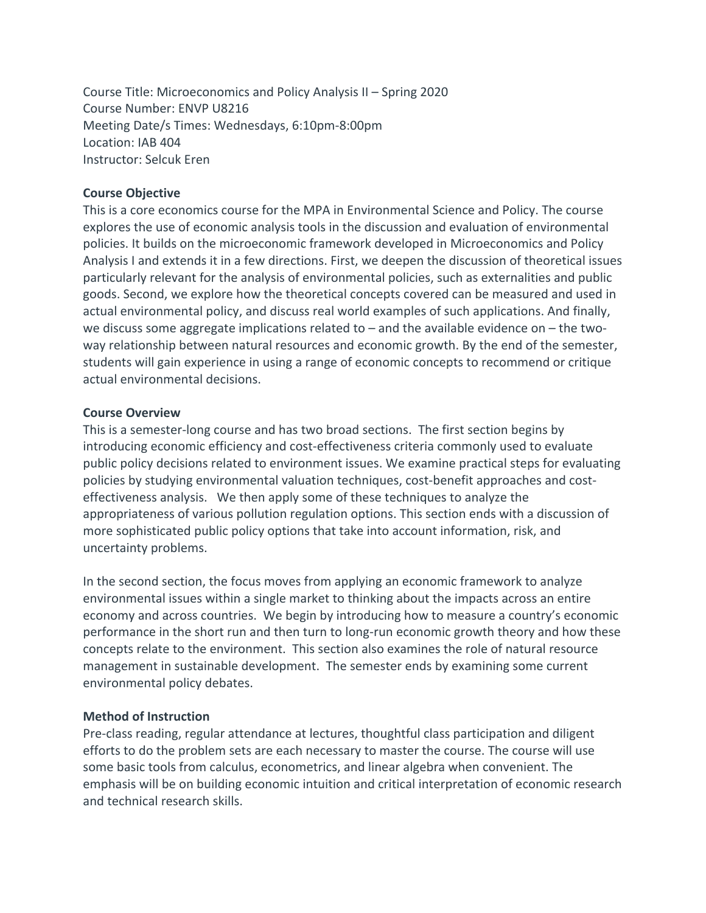Course Title: Microeconomics and Policy Analysis II – Spring 2020 Course Number: ENVP U8216 Meeting Date/s Times: Wednesdays, 6:10pm-8:00pm Location: IAB 404 Instructor: Selcuk Eren

#### **Course Objective**

This is a core economics course for the MPA in Environmental Science and Policy. The course explores the use of economic analysis tools in the discussion and evaluation of environmental policies. It builds on the microeconomic framework developed in Microeconomics and Policy Analysis I and extends it in a few directions. First, we deepen the discussion of theoretical issues particularly relevant for the analysis of environmental policies, such as externalities and public goods. Second, we explore how the theoretical concepts covered can be measured and used in actual environmental policy, and discuss real world examples of such applications. And finally, we discuss some aggregate implications related to – and the available evidence on – the twoway relationship between natural resources and economic growth. By the end of the semester, students will gain experience in using a range of economic concepts to recommend or critique actual environmental decisions.

#### **Course Overview**

This is a semester-long course and has two broad sections. The first section begins by introducing economic efficiency and cost-effectiveness criteria commonly used to evaluate public policy decisions related to environment issues. We examine practical steps for evaluating policies by studying environmental valuation techniques, cost-benefit approaches and costeffectiveness analysis. We then apply some of these techniques to analyze the appropriateness of various pollution regulation options. This section ends with a discussion of more sophisticated public policy options that take into account information, risk, and uncertainty problems.

In the second section, the focus moves from applying an economic framework to analyze environmental issues within a single market to thinking about the impacts across an entire economy and across countries. We begin by introducing how to measure a country's economic performance in the short run and then turn to long-run economic growth theory and how these concepts relate to the environment. This section also examines the role of natural resource management in sustainable development. The semester ends by examining some current environmental policy debates.

## **Method of Instruction**

Pre-class reading, regular attendance at lectures, thoughtful class participation and diligent efforts to do the problem sets are each necessary to master the course. The course will use some basic tools from calculus, econometrics, and linear algebra when convenient. The emphasis will be on building economic intuition and critical interpretation of economic research and technical research skills.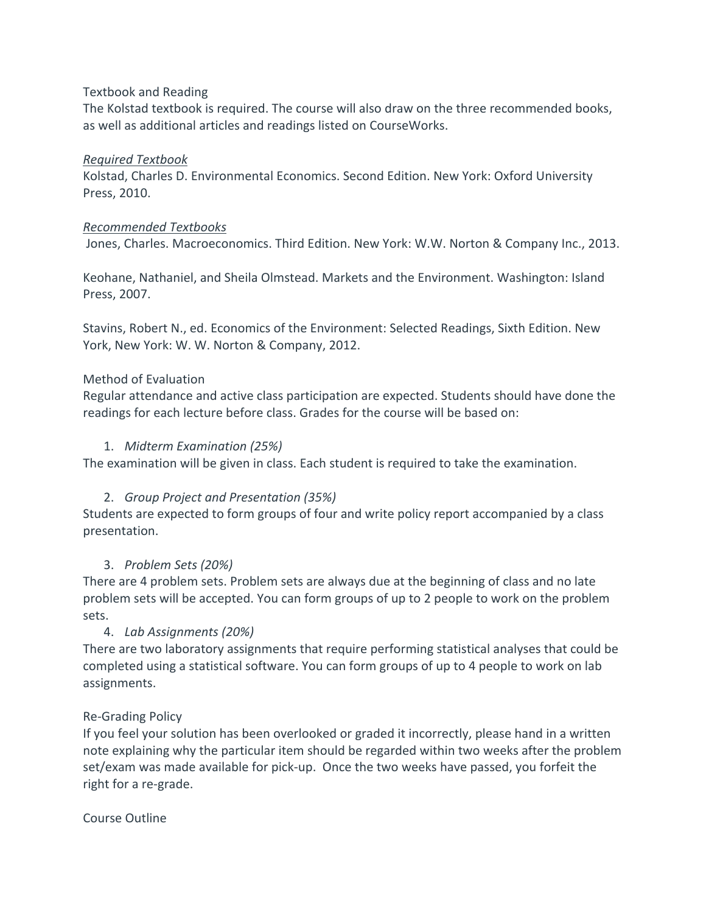#### Textbook and Reading

The Kolstad textbook is required. The course will also draw on the three recommended books, as well as additional articles and readings listed on CourseWorks.

## *Required Textbook*

Kolstad, Charles D. Environmental Economics. Second Edition. New York: Oxford University Press, 2010.

## *Recommended Textbooks*

Jones, Charles. Macroeconomics. Third Edition. New York: W.W. Norton & Company Inc., 2013.

Keohane, Nathaniel, and Sheila Olmstead. Markets and the Environment. Washington: Island Press, 2007.

Stavins, Robert N., ed. Economics of the Environment: Selected Readings, Sixth Edition. New York, New York: W. W. Norton & Company, 2012.

## Method of Evaluation

Regular attendance and active class participation are expected. Students should have done the readings for each lecture before class. Grades for the course will be based on:

## 1. *Midterm Examination (25%)*

The examination will be given in class. Each student is required to take the examination.

# 2. *Group Project and Presentation (35%)*

Students are expected to form groups of four and write policy report accompanied by a class presentation.

# 3. *Problem Sets (20%)*

There are 4 problem sets. Problem sets are always due at the beginning of class and no late problem sets will be accepted. You can form groups of up to 2 people to work on the problem sets.

# 4. *Lab Assignments (20%)*

There are two laboratory assignments that require performing statistical analyses that could be completed using a statistical software. You can form groups of up to 4 people to work on lab assignments.

# Re-Grading Policy

If you feel your solution has been overlooked or graded it incorrectly, please hand in a written note explaining why the particular item should be regarded within two weeks after the problem set/exam was made available for pick-up. Once the two weeks have passed, you forfeit the right for a re-grade.

# Course Outline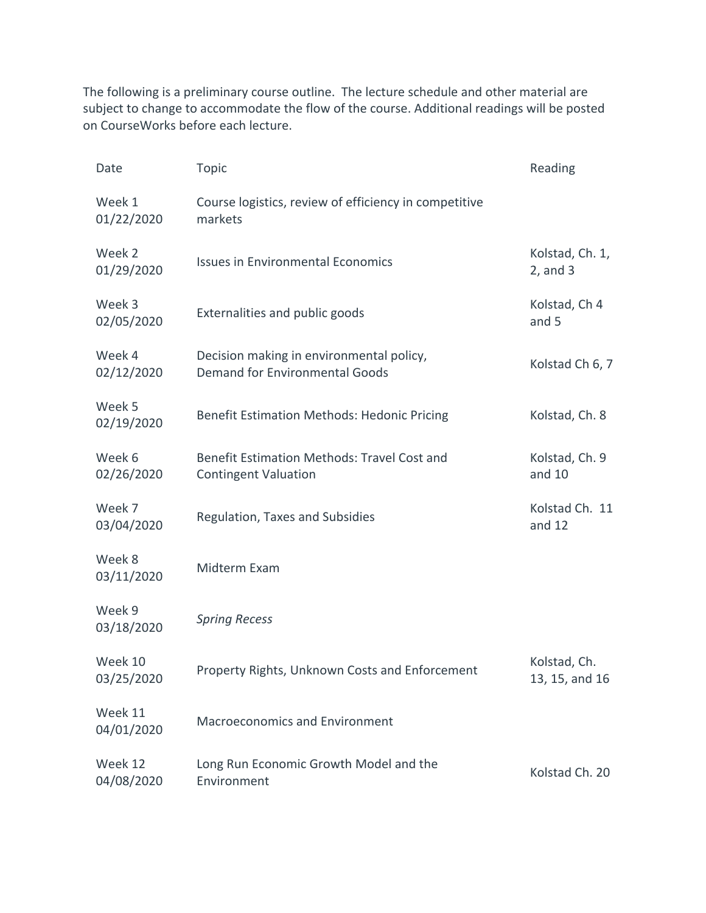The following is a preliminary course outline. The lecture schedule and other material are subject to change to accommodate the flow of the course. Additional readings will be posted on CourseWorks before each lecture.

| Date                  | <b>Topic</b>                                                                      | Reading                          |
|-----------------------|-----------------------------------------------------------------------------------|----------------------------------|
| Week 1<br>01/22/2020  | Course logistics, review of efficiency in competitive<br>markets                  |                                  |
| Week 2<br>01/29/2020  | <b>Issues in Environmental Economics</b>                                          | Kolstad, Ch. 1,<br>$2$ , and $3$ |
| Week 3<br>02/05/2020  | Externalities and public goods                                                    | Kolstad, Ch 4<br>and 5           |
| Week 4<br>02/12/2020  | Decision making in environmental policy,<br><b>Demand for Environmental Goods</b> | Kolstad Ch 6, 7                  |
| Week 5<br>02/19/2020  | <b>Benefit Estimation Methods: Hedonic Pricing</b>                                | Kolstad, Ch. 8                   |
| Week 6<br>02/26/2020  | Benefit Estimation Methods: Travel Cost and<br><b>Contingent Valuation</b>        | Kolstad, Ch. 9<br>and 10         |
| Week 7<br>03/04/2020  | Regulation, Taxes and Subsidies                                                   | Kolstad Ch. 11<br>and 12         |
| Week 8<br>03/11/2020  | Midterm Exam                                                                      |                                  |
| Week 9<br>03/18/2020  | <b>Spring Recess</b>                                                              |                                  |
| Week 10<br>03/25/2020 | Property Rights, Unknown Costs and Enforcement                                    | Kolstad, Ch.<br>13, 15, and 16   |
| Week 11<br>04/01/2020 | <b>Macroeconomics and Environment</b>                                             |                                  |
| Week 12<br>04/08/2020 | Long Run Economic Growth Model and the<br>Environment                             | Kolstad Ch. 20                   |